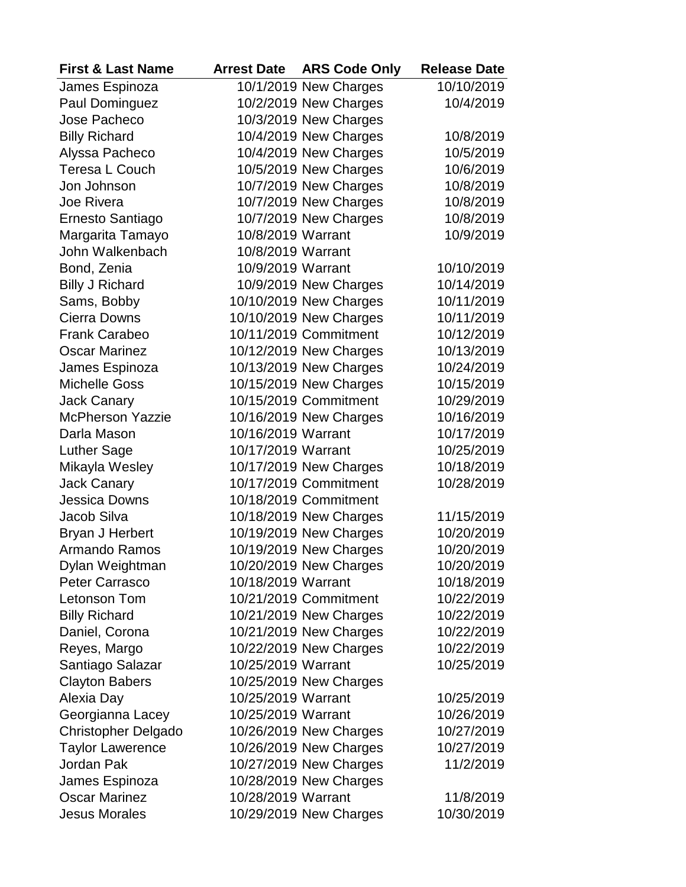| <b>First &amp; Last Name</b> | <b>Arrest Date</b> | <b>ARS Code Only</b>   | <b>Release Date</b> |
|------------------------------|--------------------|------------------------|---------------------|
| James Espinoza               |                    | 10/1/2019 New Charges  | 10/10/2019          |
| <b>Paul Dominguez</b>        |                    | 10/2/2019 New Charges  | 10/4/2019           |
| Jose Pacheco                 |                    | 10/3/2019 New Charges  |                     |
| <b>Billy Richard</b>         |                    | 10/4/2019 New Charges  | 10/8/2019           |
| Alyssa Pacheco               |                    | 10/4/2019 New Charges  | 10/5/2019           |
| <b>Teresa L Couch</b>        |                    | 10/5/2019 New Charges  | 10/6/2019           |
| Jon Johnson                  |                    | 10/7/2019 New Charges  | 10/8/2019           |
| <b>Joe Rivera</b>            |                    | 10/7/2019 New Charges  | 10/8/2019           |
| Ernesto Santiago             |                    | 10/7/2019 New Charges  | 10/8/2019           |
| Margarita Tamayo             | 10/8/2019 Warrant  |                        | 10/9/2019           |
| John Walkenbach              | 10/8/2019 Warrant  |                        |                     |
| Bond, Zenia                  | 10/9/2019 Warrant  |                        | 10/10/2019          |
| <b>Billy J Richard</b>       |                    | 10/9/2019 New Charges  | 10/14/2019          |
| Sams, Bobby                  |                    | 10/10/2019 New Charges | 10/11/2019          |
| <b>Cierra Downs</b>          |                    | 10/10/2019 New Charges | 10/11/2019          |
| <b>Frank Carabeo</b>         |                    | 10/11/2019 Commitment  | 10/12/2019          |
| <b>Oscar Marinez</b>         |                    | 10/12/2019 New Charges | 10/13/2019          |
| James Espinoza               |                    | 10/13/2019 New Charges | 10/24/2019          |
| <b>Michelle Goss</b>         |                    | 10/15/2019 New Charges | 10/15/2019          |
| <b>Jack Canary</b>           |                    | 10/15/2019 Commitment  | 10/29/2019          |
| <b>McPherson Yazzie</b>      |                    | 10/16/2019 New Charges | 10/16/2019          |
| Darla Mason                  | 10/16/2019 Warrant |                        | 10/17/2019          |
| Luther Sage                  | 10/17/2019 Warrant |                        | 10/25/2019          |
| Mikayla Wesley               |                    | 10/17/2019 New Charges | 10/18/2019          |
| <b>Jack Canary</b>           |                    | 10/17/2019 Commitment  | 10/28/2019          |
| <b>Jessica Downs</b>         |                    | 10/18/2019 Commitment  |                     |
| Jacob Silva                  |                    | 10/18/2019 New Charges | 11/15/2019          |
| <b>Bryan J Herbert</b>       |                    | 10/19/2019 New Charges | 10/20/2019          |
| <b>Armando Ramos</b>         |                    | 10/19/2019 New Charges | 10/20/2019          |
| Dylan Weightman              |                    | 10/20/2019 New Charges | 10/20/2019          |
| <b>Peter Carrasco</b>        | 10/18/2019 Warrant |                        | 10/18/2019          |
| Letonson Tom                 |                    | 10/21/2019 Commitment  | 10/22/2019          |
| <b>Billy Richard</b>         |                    | 10/21/2019 New Charges | 10/22/2019          |
| Daniel, Corona               |                    | 10/21/2019 New Charges | 10/22/2019          |
| Reyes, Margo                 |                    | 10/22/2019 New Charges | 10/22/2019          |
| Santiago Salazar             | 10/25/2019 Warrant |                        | 10/25/2019          |
| <b>Clayton Babers</b>        |                    | 10/25/2019 New Charges |                     |
| Alexia Day                   | 10/25/2019 Warrant |                        | 10/25/2019          |
| Georgianna Lacey             | 10/25/2019 Warrant |                        | 10/26/2019          |
| Christopher Delgado          |                    | 10/26/2019 New Charges | 10/27/2019          |
| <b>Taylor Lawerence</b>      |                    | 10/26/2019 New Charges | 10/27/2019          |
| Jordan Pak                   |                    | 10/27/2019 New Charges | 11/2/2019           |
| James Espinoza               |                    | 10/28/2019 New Charges |                     |
| <b>Oscar Marinez</b>         | 10/28/2019 Warrant |                        | 11/8/2019           |
| <b>Jesus Morales</b>         |                    | 10/29/2019 New Charges | 10/30/2019          |